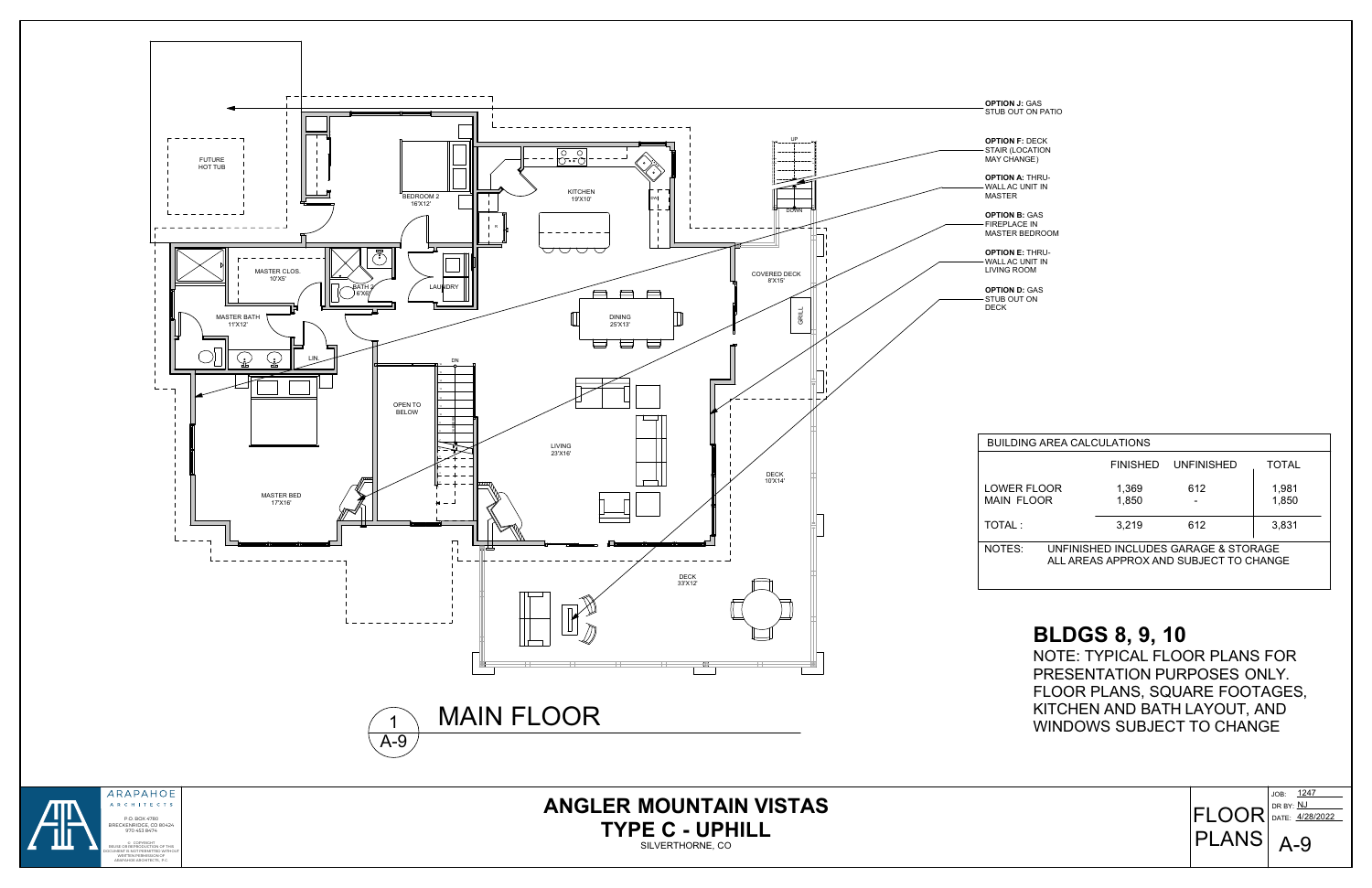



**ANGLER MOUNTAIN VISTAS TYPE C - UPHILL** SILVERTHORNE, CO

**OPTION F:** DECK STAIR (LOCATION MAY CHANGE)

**OPTION B:** GAS FIREPLACE IN MASTER BEDROOM

**OPTION A:** THRU-WALL AC UNIT IN MASTER

**OPTION E:** THRU-WALL AC UNIT IN LIVING ROOM

**OPTION D: GAS** 

**OPTION J:** GAS STUB OUT ON PATIO



| <b>BUILDING AREA CALCULATIONS</b>                                                        |                 |                   |                |  |  |  |
|------------------------------------------------------------------------------------------|-----------------|-------------------|----------------|--|--|--|
|                                                                                          | <b>FINISHED</b> | <b>UNFINISHED</b> | TOTAL          |  |  |  |
| LOWER FLOOR<br>MAIN FLOOR                                                                | 1,369<br>1,850  | 612               | 1,981<br>1,850 |  |  |  |
| TOTAL :                                                                                  | 3,219           | 612               | 3,831          |  |  |  |
| NOTES:<br>UNFINISHED INCLUDES GARAGE & STORAGE<br>ALL AREAS APPROX AND SUBJECT TO CHANGE |                 |                   |                |  |  |  |
|                                                                                          |                 |                   |                |  |  |  |

## **BLDGS 8, 9, 10**

NOTE: TYPICAL FLOOR PLANS FOR PRESENTATION PURPOSES ONLY. FLOOR PLANS, SQUARE FOOTAGES, KITCHEN AND BATH LAYOUT, AND WINDOWS SUBJECT TO CHANGE